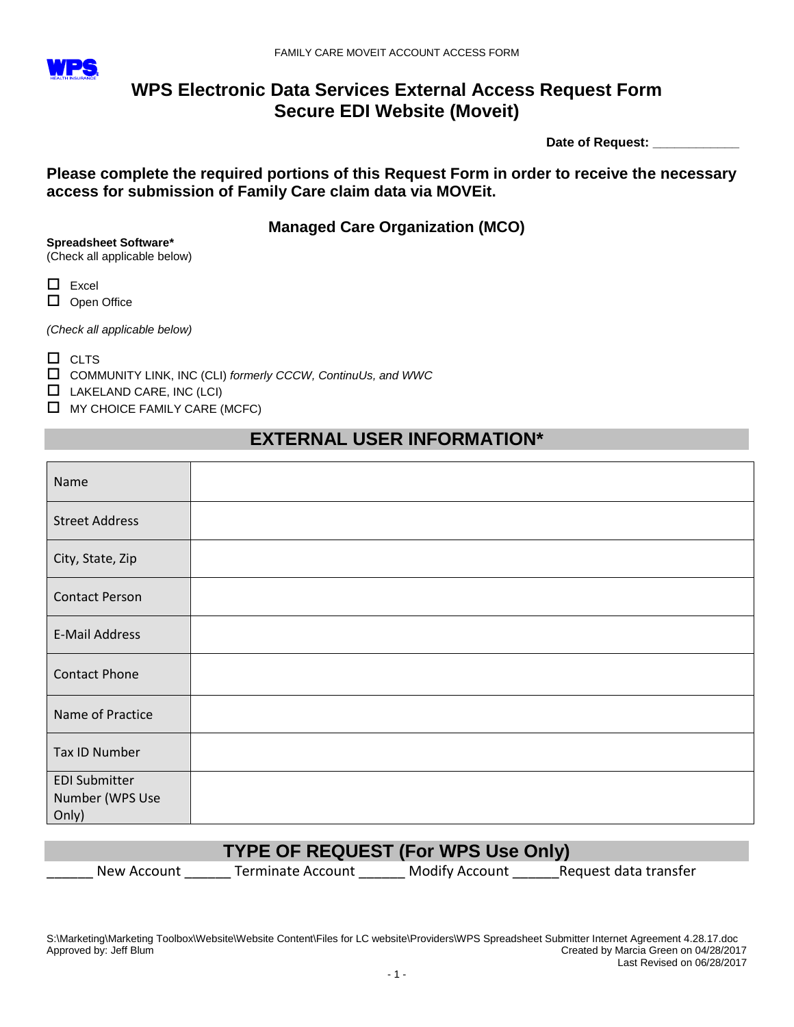

## **WPS Electronic Data Services External Access Request Form Secure EDI Website (Moveit)**

 **Date of Request: \_\_\_\_\_\_\_\_\_\_\_\_**

**Please complete the required portions of this Request Form in order to receive the necessary access for submission of Family Care claim data via MOVEit.** 

**Managed Care Organization (MCO)**

**Spreadsheet Software\***

(Check all applicable below)

 $\Box$  Excel

D Open Office

*(Check all applicable below)*

 $\Box$  CLTS

COMMUNITY LINK, INC (CLI) *formerly CCCW, ContinuUs, and WWC*

 $\Box$  LAKELAND CARE, INC (LCI)

 $\Box$  MY CHOICE FAMILY CARE (MCFC)

# **EXTERNAL USER INFORMATION\***

| Name                                             |  |
|--------------------------------------------------|--|
| <b>Street Address</b>                            |  |
| City, State, Zip                                 |  |
| <b>Contact Person</b>                            |  |
| <b>E-Mail Address</b>                            |  |
| <b>Contact Phone</b>                             |  |
| Name of Practice                                 |  |
| Tax ID Number                                    |  |
| <b>EDI Submitter</b><br>Number (WPS Use<br>Only) |  |

## **TYPE OF REQUEST (For WPS Use Only)**

New Account Terminate Account \_\_\_\_\_\_ Modify Account \_\_\_\_\_\_\_\_\_\_\_\_\_\_\_\_\_\_\_\_\_\_\_\_\_\_\_\_

S:\Marketing\Marketing Toolbox\Website\Website Content\Files for LC website\Providers\WPS Spreadsheet Submitter Internet Agreement 4.28.17.doc Approved by: Jeff Blum Created by Marcia Green on 04/28/2017 Last Revised on 06/28/2017